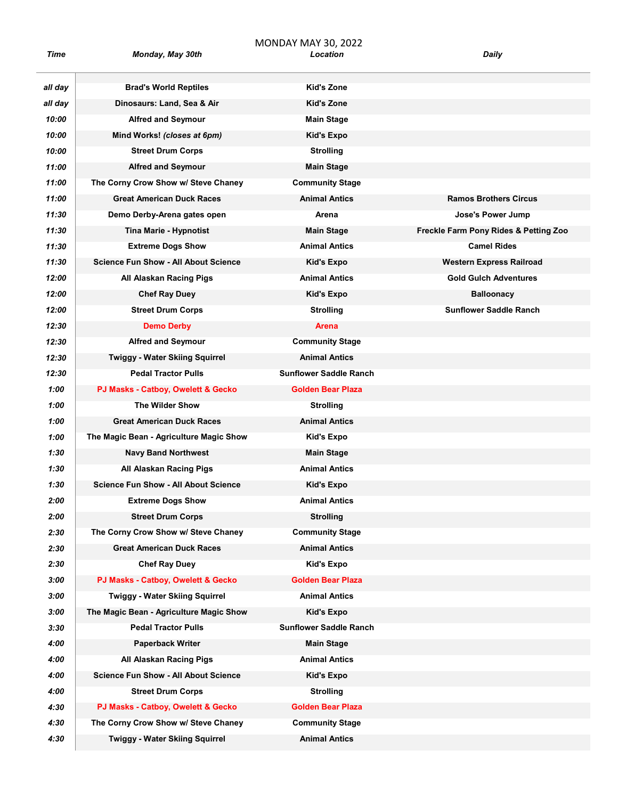| Time    | Monday, May 30th                            | Location                      | Daily                                 |
|---------|---------------------------------------------|-------------------------------|---------------------------------------|
| all day | <b>Brad's World Reptiles</b>                | Kid's Zone                    |                                       |
| all day | Dinosaurs: Land, Sea & Air                  | Kid's Zone                    |                                       |
| 10:00   | <b>Alfred and Seymour</b>                   | <b>Main Stage</b>             |                                       |
| 10:00   | Mind Works! (closes at 6pm)                 | Kid's Expo                    |                                       |
| 10:00   | <b>Street Drum Corps</b>                    | <b>Strolling</b>              |                                       |
| 11:00   | <b>Alfred and Seymour</b>                   | <b>Main Stage</b>             |                                       |
| 11:00   | The Corny Crow Show w/ Steve Chaney         | <b>Community Stage</b>        |                                       |
| 11:00   | <b>Great American Duck Races</b>            | <b>Animal Antics</b>          | <b>Ramos Brothers Circus</b>          |
| 11:30   | Demo Derby-Arena gates open                 | Arena                         | Jose's Power Jump                     |
| 11:30   | <b>Tina Marie - Hypnotist</b>               | <b>Main Stage</b>             | Freckle Farm Pony Rides & Petting Zoo |
| 11:30   | <b>Extreme Dogs Show</b>                    | <b>Animal Antics</b>          | <b>Camel Rides</b>                    |
| 11:30   | <b>Science Fun Show - All About Science</b> | Kid's Expo                    | <b>Western Express Railroad</b>       |
| 12:00   | All Alaskan Racing Pigs                     | <b>Animal Antics</b>          | <b>Gold Gulch Adventures</b>          |
| 12:00   | <b>Chef Ray Duey</b>                        | <b>Kid's Expo</b>             | <b>Balloonacy</b>                     |
| 12:00   | <b>Street Drum Corps</b>                    | <b>Strolling</b>              | <b>Sunflower Saddle Ranch</b>         |
| 12:30   | <b>Demo Derby</b>                           | <b>Arena</b>                  |                                       |
| 12:30   | <b>Alfred and Seymour</b>                   | <b>Community Stage</b>        |                                       |
| 12:30   | <b>Twiggy - Water Skiing Squirrel</b>       | <b>Animal Antics</b>          |                                       |
| 12:30   | <b>Pedal Tractor Pulls</b>                  | <b>Sunflower Saddle Ranch</b> |                                       |
| 1:00    | PJ Masks - Catboy, Owelett & Gecko          | <b>Golden Bear Plaza</b>      |                                       |
| 1:00    | The Wilder Show                             | <b>Strolling</b>              |                                       |
| 1:00    | <b>Great American Duck Races</b>            | <b>Animal Antics</b>          |                                       |
| 1:00    | The Magic Bean - Agriculture Magic Show     | Kid's Expo                    |                                       |
| 1:30    | <b>Navy Band Northwest</b>                  | <b>Main Stage</b>             |                                       |
| 1:30    | All Alaskan Racing Pigs                     | <b>Animal Antics</b>          |                                       |
| 1:30    | <b>Science Fun Show - All About Science</b> | Kid's Expo                    |                                       |
| 2:00    | <b>Extreme Dogs Show</b>                    | <b>Animal Antics</b>          |                                       |
| 2:00    | <b>Street Drum Corps</b>                    | <b>Strolling</b>              |                                       |
| 2:30    | The Corny Crow Show w/ Steve Chaney         | <b>Community Stage</b>        |                                       |
| 2:30    | <b>Great American Duck Races</b>            | <b>Animal Antics</b>          |                                       |
| 2:30    | <b>Chef Ray Duey</b>                        | Kid's Expo                    |                                       |
| 3:00    | PJ Masks - Catboy, Owelett & Gecko          | <b>Golden Bear Plaza</b>      |                                       |
| 3:00    | <b>Twiggy - Water Skiing Squirrel</b>       | <b>Animal Antics</b>          |                                       |
| 3:00    | The Magic Bean - Agriculture Magic Show     | <b>Kid's Expo</b>             |                                       |
| 3:30    | <b>Pedal Tractor Pulls</b>                  | <b>Sunflower Saddle Ranch</b> |                                       |
| 4:00    | <b>Paperback Writer</b>                     | <b>Main Stage</b>             |                                       |
| 4:00    | All Alaskan Racing Pigs                     | <b>Animal Antics</b>          |                                       |
| 4:00    | <b>Science Fun Show - All About Science</b> | <b>Kid's Expo</b>             |                                       |
| 4:00    | <b>Street Drum Corps</b>                    | <b>Strolling</b>              |                                       |
| 4:30    | PJ Masks - Catboy, Owelett & Gecko          | Golden Bear Plaza             |                                       |
| 4:30    | The Corny Crow Show w/ Steve Chaney         | <b>Community Stage</b>        |                                       |
| 4:30    | Twiggy - Water Skiing Squirrel              | <b>Animal Antics</b>          |                                       |

MONDAY MAY 30, 2022